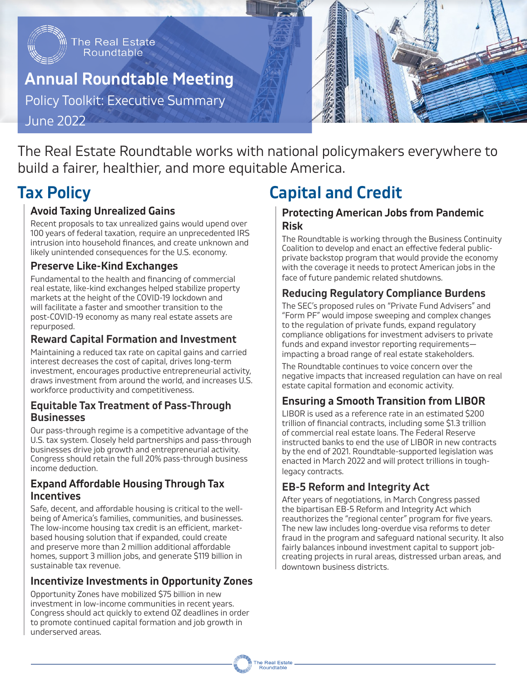

## **Annual Roundtable Meeting**

Policy Toolkit: Executive Summary

June 2022

The Real Estate Roundtable works with national policymakers everywhere to build a fairer, healthier, and more equitable America.

## **Tax Policy**

### **Avoid Taxing Unrealized Gains**

Recent proposals to tax unrealized gains would upend over 100 years of federal taxation, require an unprecedented IRS intrusion into household finances, and create unknown and likely unintended consequences for the U.S. economy.

#### **Preserve Like-Kind Exchanges**

Fundamental to the health and financing of commercial real estate, like-kind exchanges helped stabilize property markets at the height of the COVID-19 lockdown and will facilitate a faster and smoother transition to the post-COVID-19 economy as many real estate assets are repurposed.

#### **Reward Capital Formation and Investment**

Maintaining a reduced tax rate on capital gains and carried interest decreases the cost of capital, drives long-term investment, encourages productive entrepreneurial activity, draws investment from around the world, and increases U.S. workforce productivity and competitiveness.

#### **Equitable Tax Treatment of Pass-Through Businesses**

Our pass-through regime is a competitive advantage of the U.S. tax system. Closely held partnerships and pass-through businesses drive job growth and entrepreneurial activity. Congress should retain the full 20% pass-through business income deduction.

#### **Expand Affordable Housing Through Tax Incentives**

Safe, decent, and affordable housing is critical to the wellbeing of America's families, communities, and businesses. The low-income housing tax credit is an efficient, marketbased housing solution that if expanded, could create and preserve more than 2 million additional affordable homes, support 3 million jobs, and generate \$119 billion in sustainable tax revenue.

### **Incentivize Investments in Opportunity Zones**

Opportunity Zones have mobilized \$75 billion in new investment in low-income communities in recent years. Congress should act quickly to extend OZ deadlines in order to promote continued capital formation and job growth in underserved areas.

# **Capital and Credit**

#### **Protecting American Jobs from Pandemic Risk**

The Roundtable is working through the Business Continuity Coalition to develop and enact an effective federal publicprivate backstop program that would provide the economy with the coverage it needs to protect American jobs in the face of future pandemic related shutdowns.

## **Reducing Regulatory Compliance Burdens**

The SEC's proposed rules on "Private Fund Advisers" and "Form PF" would impose sweeping and complex changes to the regulation of private funds, expand regulatory compliance obligations for investment advisers to private funds and expand investor reporting requirements impacting a broad range of real estate stakeholders.

The Roundtable continues to voice concern over the negative impacts that increased regulation can have on real estate capital formation and economic activity.

### **Ensuring a Smooth Transition from LIBOR**

LIBOR is used as a reference rate in an estimated \$200 trillion of financial contracts, including some \$1.3 trillion of commercial real estate loans. The Federal Reserve instructed banks to end the use of LIBOR in new contracts by the end of 2021. Roundtable-supported legislation was enacted in March 2022 and will protect trillions in toughlegacy contracts.

### **EB-5 Reform and Integrity Act**

After years of negotiations, in March Congress passed the bipartisan EB-5 Reform and Integrity Act which reauthorizes the "regional center" program for five years. The new law includes long-overdue visa reforms to deter fraud in the program and safeguard national security. It also fairly balances inbound investment capital to support jobcreating projects in rural areas, distressed urban areas, and downtown business districts.